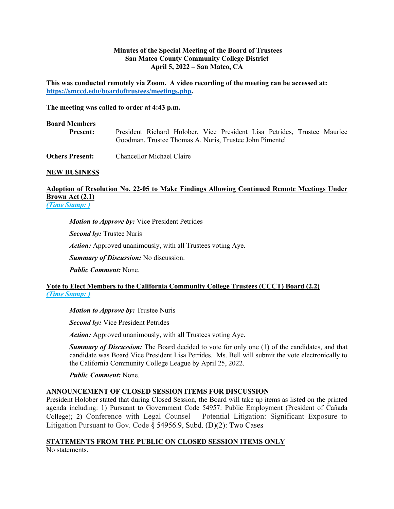### **Minutes of the Special Meeting of the Board of Trustees San Mateo County Community College District April 5, 2022 – San Mateo, CA**

**This was conducted remotely via Zoom. A video recording of the meeting can be accessed at: https://smccd.edu/boardoftrustees/meetings.php.** 

**The meeting was called to order at 4:43 p.m.**

#### **Board Members**

 **Present:** President Richard Holober, Vice President Lisa Petrides, Trustee Maurice Goodman, Trustee Thomas A. Nuris, Trustee John Pimentel

**Others Present:** Chancellor Michael Claire

### **NEW BUSINESS**

# **Adoption of Resolution No. 22-05 to Make Findings Allowing Continued Remote Meetings Under Brown Act (2.1)**

*(Time Stamp: )*

*Motion to Approve by:* Vice President Petrides

*Second by:* Trustee Nuris

*Action:* Approved unanimously, with all Trustees voting Aye.

*Summary of Discussion:* No discussion.

*Public Comment:* None.

# **Vote to Elect Members to the California Community College Trustees (CCCT) Board (2.2)** *(Time Stamp: )*

*Motion to Approve by:* Trustee Nuris

*Second by:* Vice President Petrides

*Action:* Approved unanimously, with all Trustees voting Aye.

**Summary of Discussion:** The Board decided to vote for only one (1) of the candidates, and that candidate was Board Vice President Lisa Petrides. Ms. Bell will submit the vote electronically to the California Community College League by April 25, 2022.

*Public Comment:* None.

# **ANNOUNCEMENT OF CLOSED SESSION ITEMS FOR DISCUSSION**

President Holober stated that during Closed Session, the Board will take up items as listed on the printed agenda including: 1) Pursuant to Government Code 54957: Public Employment (President of Cañada College); 2) Conference with Legal Counsel – Potential Litigation: Significant Exposure to Litigation Pursuant to Gov. Code § 54956.9, Subd. (D)(2): Two Cases

# **STATEMENTS FROM THE PUBLIC ON CLOSED SESSION ITEMS ONLY**

No statements.